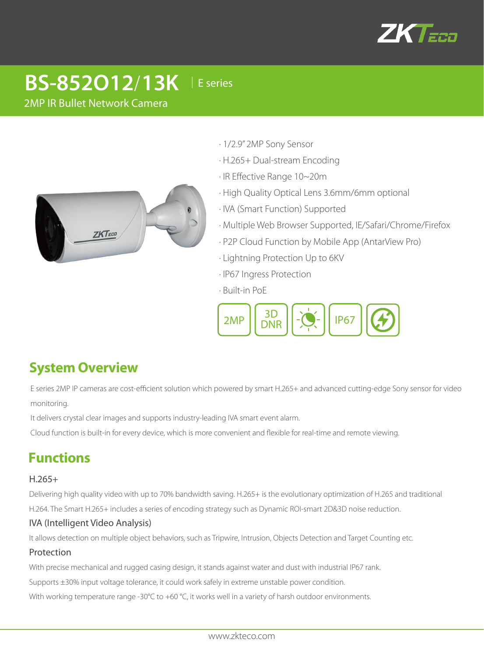

# **BS-852O12**/**13K** │E series

2MP IR Bullet Network Camera



- · 1/2.9" 2MP Sony Sensor
- · H.265+ Dual-stream Encoding
- · IR Effective Range 10~20m
- · High Quality Optical Lens 3.6mm/6mm optional
- · IVA (Smart Function) Supported
- · Multiple Web Browser Supported, IE/Safari/Chrome/Firefox
- · P2P Cloud Function by Mobile App (AntarView Pro)
- · Lightning Protection Up to 6KV
- · IP67 Ingress Protection
- · Built-in PoE



# **System Overview**

E series 2MP IP cameras are cost-efficient solution which powered by smart H.265+ and advanced cutting-edge Sony sensor for video monitoring.

It delivers crystal clear images and supports industry-leading IVA smart event alarm.

Cloud function is built-in for every device, which is more convenient and flexible for real-time and remote viewing.

# **Functions**

### H.265+

Delivering high quality video with up to 70% bandwidth saving. H.265+ is the evolutionary optimization of H.265 and traditional

H.264. The Smart H.265+ includes a series of encoding strategy such as Dynamic ROI-smart 2D&3D noise reduction.

### IVA (Intelligent Video Analysis)

It allows detection on multiple object behaviors, such as Tripwire, Intrusion, Objects Detection and Target Counting etc.

### Protection

With precise mechanical and rugged casing design, it stands against water and dust with industrial IP67 rank.

Supports ±30% input voltage tolerance, it could work safely in extreme unstable power condition.

With working temperature range -30°C to +60 °C, it works well in a variety of harsh outdoor environments.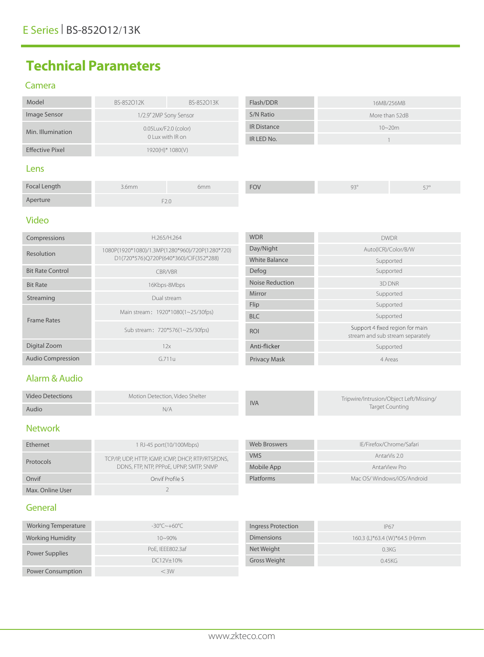# **Technical Parameters**

#### Camera

| Model                                     | BS-852012K             | BS-852013K         | Flash/DDR  | 16MB/256MB     |
|-------------------------------------------|------------------------|--------------------|------------|----------------|
| Image Sensor                              | 1/2.9" 2MP Sony Sensor |                    | S/N Ratio  | More than 52dB |
| 0.05Lux/F2.0 (color)<br>Min. Illumination |                        | <b>IR Distance</b> | $10 - 20m$ |                |
|                                           |                        | 0 Lux with IR on   |            |                |
| <b>Effective Pixel</b>                    |                        | 1920(H)* 1080(V)   |            |                |
| Lens                                      |                        |                    |            |                |

| Focal Length | 3.6mm                                                     | 6mm | <b>FOV</b> | QZ <sub>c</sub><br>$\sim$ $\sim$ | $\sim$ |
|--------------|-----------------------------------------------------------|-----|------------|----------------------------------|--------|
| Aperture     | $\overline{\phantom{a}}$ $\overline{\phantom{a}}$<br>F∠.∪ |     |            |                                  |        |

#### Video

| Compressions             | <b>WDR</b><br>H.265/H.264                       |                      | <b>DWDR</b>                                                         |
|--------------------------|-------------------------------------------------|----------------------|---------------------------------------------------------------------|
| Resolution               | 1080P(1920*1080)/1.3MP(1280*960)/720P(1280*720) | Day/Night            | Auto(ICR)/Color/B/W                                                 |
|                          | D1(720*576)Q720P(640*360)/CIF(352*288)          | <b>White Balance</b> | Supported                                                           |
| <b>Bit Rate Control</b>  | CBR/VBR                                         | Defog                | Supported                                                           |
| <b>Bit Rate</b>          | 16Kbps-8Mbps                                    | Noise Reduction      | 3D DNR                                                              |
| Streaming                | Dual stream                                     | Mirror               | Supported                                                           |
|                          |                                                 | Flip                 | Supported                                                           |
| <b>Frame Rates</b>       | Main stream: 1920*1080(1~25/30fps)              | <b>BLC</b>           | Supported                                                           |
|                          | Sub stream: 720*576(1~25/30fps)                 | <b>ROI</b>           | Support 4 fixed region for main<br>stream and sub stream separately |
| Digital Zoom             | 12x                                             | Anti-flicker         | Supported                                                           |
| <b>Audio Compression</b> | G.711u                                          | <b>Privacy Mask</b>  | 4 Areas                                                             |

# Alarm & Audio

| <b>Video Detections</b> | Motion Detection. Video Shelter |            | Tripwire/Intrusion/Object Left/Missing/ |
|-------------------------|---------------------------------|------------|-----------------------------------------|
| Audio                   | N/A                             | <b>IVA</b> | Target Counting                         |

# Network

| Ethernet         | 1 RJ-45 port(10/100Mbps)                           | Web Broswers | IE/Firefox/Chrome/Safari   |
|------------------|----------------------------------------------------|--------------|----------------------------|
|                  | TCP/IP, UDP, HTTP, IGMP, ICMP, DHCP, RTP/RTSP,DNS, | <b>VMS</b>   | AntarVis 2.0               |
| Protocols        | DDNS, FTP, NTP, PPPOE, UPNP, SMTP, SNMP            | Mobile App   | AntarView Pro              |
| Onvif            | Onvif Profile S                                    | Platforms    | Mac OS/Windows/iOS/Android |
| Max. Online User |                                                    |              |                            |

# General

| Working Temperature      | $-30^{\circ}$ C $\sim$ +60°C | Ingress Protection | <b>IP67</b>                   |
|--------------------------|------------------------------|--------------------|-------------------------------|
| <b>Working Humidity</b>  | $10 - 90\%$                  | <b>Dimensions</b>  | 160.3 (L)*63.4 (W)*64.5 (H)mm |
| Power Supplies           | PoE, IEEE802.3af             | Net Weight         | 0.3KG                         |
|                          | DC12V±10%                    | Gross Weight       | 0.45KG                        |
| <b>Power Consumption</b> | $<$ 3W                       |                    |                               |